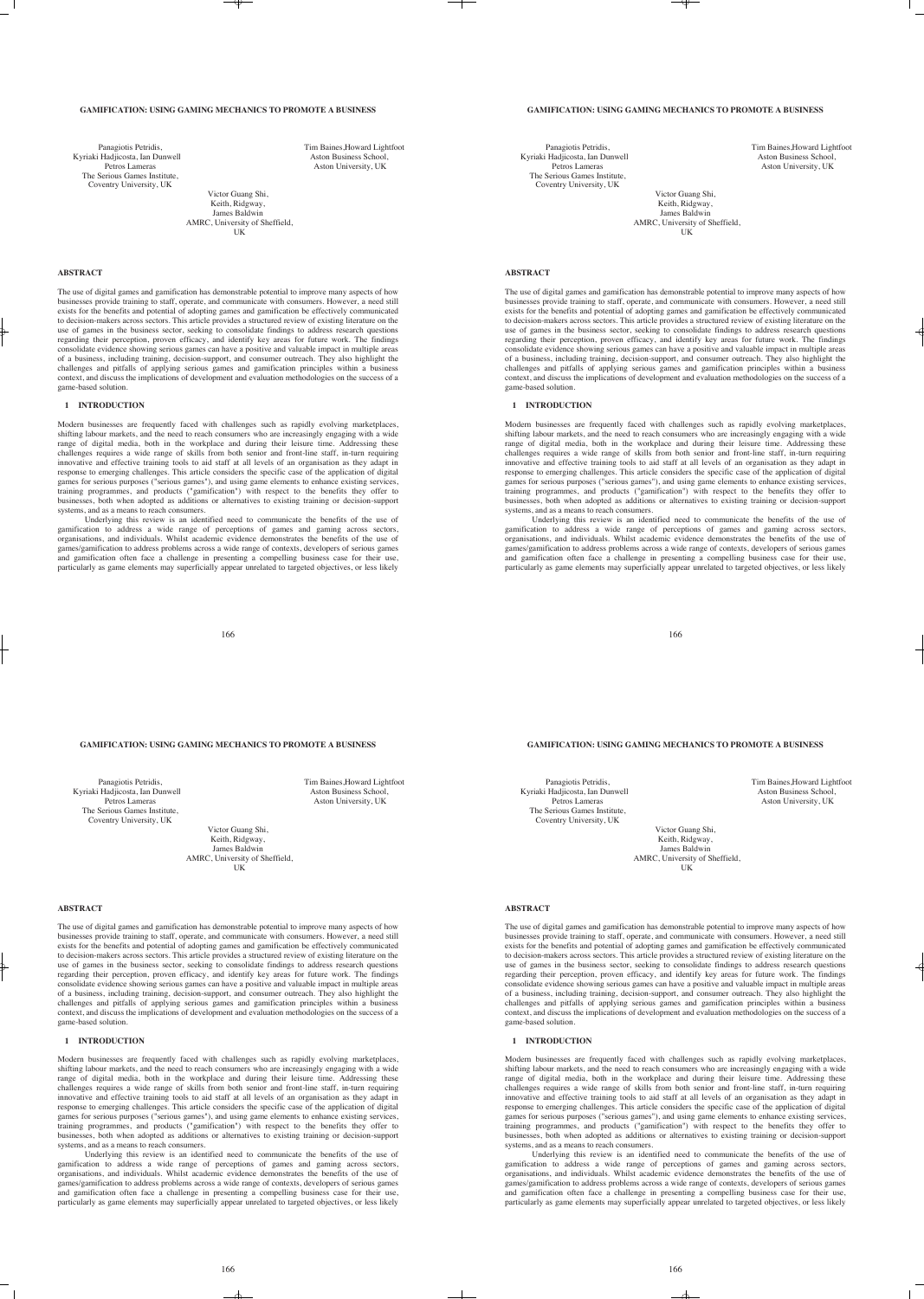#### **GAMIFICATION: USING GAMING MECHANICS TO PROMOTE A BUSINESS**

Panagiotis Petridis, Kyriaki Hadjicosta, Ian Dunwell Petros Lameras The Serious Games Institute, Coventry University, UK

Tim Baines,Howard Lightfoot Aston Business School, Aston University, UK

Victor Guang Shi, Keith, Ridgway James Baldwin AMRC, University of Sheffield, UK

## **ABSTRACT**

The use of digital games and gamification has demonstrable potential to improve many aspects of how businesses provide training to staff, operate, and communicate with consumers. However, a need still exists for the benefits and potential of adopting games and gamification be effectively communicated to decision-makers across sectors. This article provides a structured review of existing literature on the use of games in the business sector, seeking to consolidate findings to address research questions regarding their perception, proven efficacy, and identify key areas for future work. The findings consolidate evidence showing serious games can have a positive and valuable impact in multiple areas of a business, including training, decision-support, and consumer outreach. They also highlight the challenges and pitfalls of applying serious games and gamification principles within a business context, and discuss the implications of development and evaluation methodologies on the success of a game-based solution.

## **1 INTRODUCTION**

Modern businesses are frequently faced with challenges such as rapidly evolving marketplaces, shifting labour markets, and the need to reach consumers who are increasingly engaging with a wide range of digital media, both in the workplace and during their leisure time. Addressing these challenges requires a wide range of skills from both senior and front-line staff, in-turn requiring innovative and effective training tools to aid staff at all levels of an organisation as they adapt in response to emerging challenges. This article considers the specific case of the application of digital games for serious purposes ("serious games"), and using game elements to enhance existing services, training programmes, and products ("gamification") with respect to the benefits they offer to businesses, both when adopted as additions or alternatives to existing training or decision-support systems, and as a means to reach consumers.

Underlying this review is an identified need to communicate the benefits of the use of gamification to address a wide range of perceptions of games and gaming across sectors, organisations, and individuals. Whilst academic evidence demonstrates the benefits of the use of games/gamification to address problems across a wide range of contexts, developers of serious games and gamification often face a challenge in presenting a compelling business case for their use, particularly as game elements may superficially appear unrelated to targeted objectives, or less likely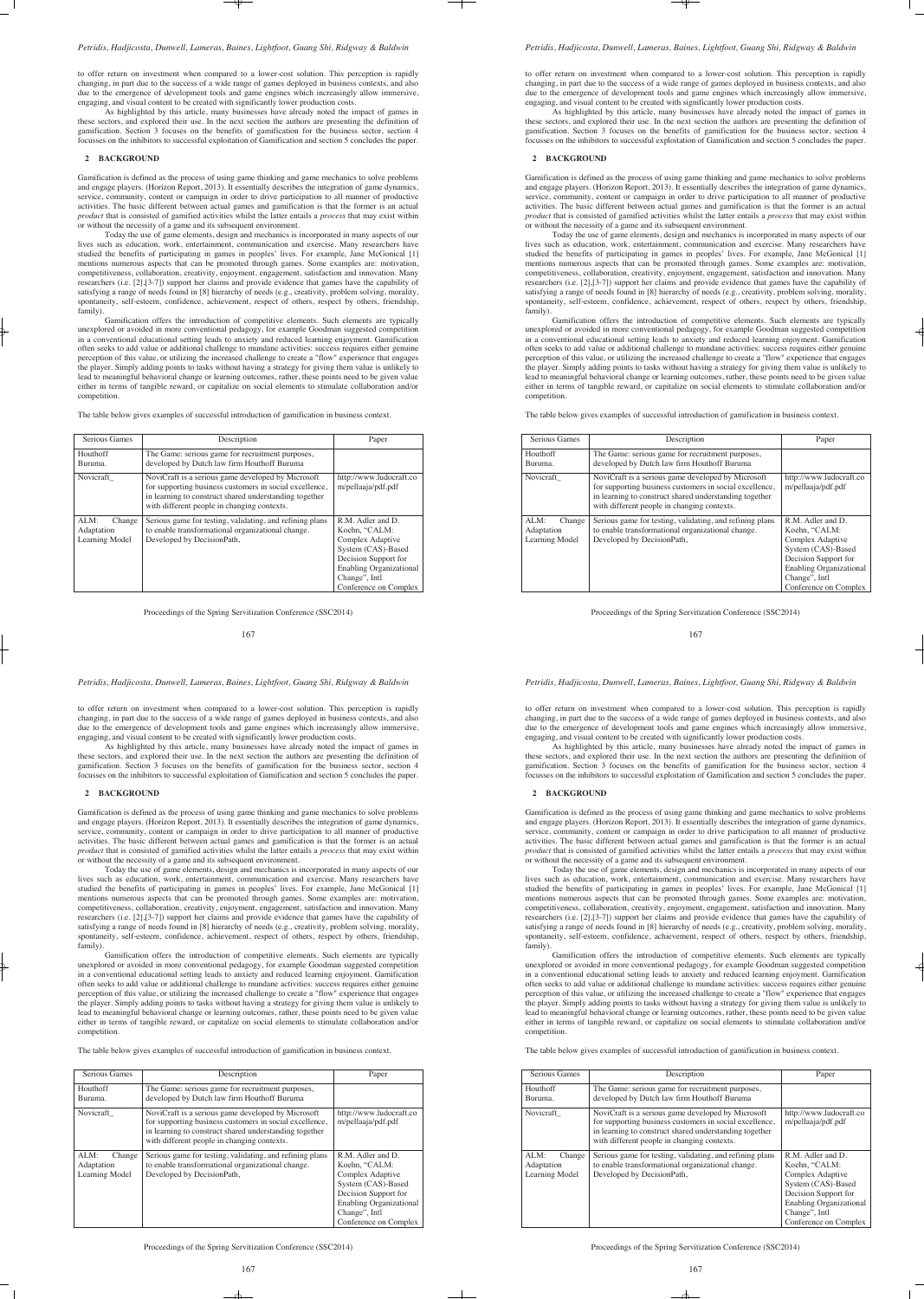to offer return on investment when compared to a lower-cost solution. This perception is rapidly changing, in part due to the success of a wide range of games deployed in business contexts, and also due to the emergence of development tools and game engines which increasingly allow immersive, engaging, and visual content to be created with significantly lower production costs.

As highlighted by this article, many businesses have already noted the impact of games in these sectors, and explored their use. In the next section the authors are presenting the definition of gamification. Section 3 focuses on the benefits of gamification for the business sector, section 4 focusses on the inhibitors to successful exploitation of Gamification and section 5 concludes the paper.

## **2 BACKGROUND**

Gamification is defined as the process of using game thinking and game mechanics to solve problems and engage players. (Horizon Report, 2013). It essentially describes the integration of game dynamics, service, community, content or campaign in order to drive participation to all manner of productive activities. The basic different between actual games and gamification is that the former is an actual *product* that is consisted of gamified activities whilst the latter entails a *process* that may exist within or without the necessity of a game and its subsequent environment.

Today the use of game elements, design and mechanics is incorporated in many aspects of our lives such as education, work, entertainment, communication and exercise. Many researchers have studied the benefits of participating in games in peoples' lives. For example, Jane McGonical [1] mentions numerous aspects that can be promoted through games. Some examples are: motivation, competitiveness, collaboration, creativity, enjoyment, engagement, satisfaction and innovation. Many researchers (i.e. [2],[3-7]) support her claims and provide evidence that games have the capability of satisfying a range of needs found in [8] hierarchy of needs (e.g., creativity, problem solving, morality, spontaneity, self-esteem, confidence, achievement, respect of others, respect by others, friendship, family).

Gamification offers the introduction of competitive elements. Such elements are typically unexplored or avoided in more conventional pedagogy, for example Goodman suggested competition in a conventional educational setting leads to anxiety and reduced learning enjoyment. Gamification often seeks to add value or additional challenge to mundane activities: success requires either genuine perception of this value, or utilizing the increased challenge to create a "flow" experience that engages the player. Simply adding points to tasks without having a strategy for giving them value is unlikely to lead to meaningful behavioral change or learning outcomes, rather, these points need to be given value either in terms of tangible reward, or capitalize on social elements to stimulate collaboration and/or competition.

| Serious Games                                  | Description                                                                                                                                                                                                            | Paper                                                                                                                                                                             |
|------------------------------------------------|------------------------------------------------------------------------------------------------------------------------------------------------------------------------------------------------------------------------|-----------------------------------------------------------------------------------------------------------------------------------------------------------------------------------|
| Houthoff                                       | The Game: serious game for recruitment purposes,                                                                                                                                                                       |                                                                                                                                                                                   |
| Buruma.                                        | developed by Dutch law firm Houthoff Buruma                                                                                                                                                                            |                                                                                                                                                                                   |
| Novicraft                                      | NoviCraft is a serious game developed by Microsoft<br>for supporting business customers in social excellence,<br>in learning to construct shared understanding together<br>with different people in changing contexts. | http://www.ludocraft.co<br>m/pellaaja/pdf.pdf                                                                                                                                     |
| ALM:<br>Change<br>Adaptation<br>Learning Model | Serious game for testing, validating, and refining plans<br>to enable transformational organizational change.<br>Developed by DecisionPath,                                                                            | R.M. Adler and D.<br>Koehn, "CALM:<br>Complex Adaptive<br>System (CAS)-Based<br>Decision Support for<br><b>Enabling Organizational</b><br>Change", Intl.<br>Conference on Complex |

The table below gives examples of successful introduction of gamification in business context.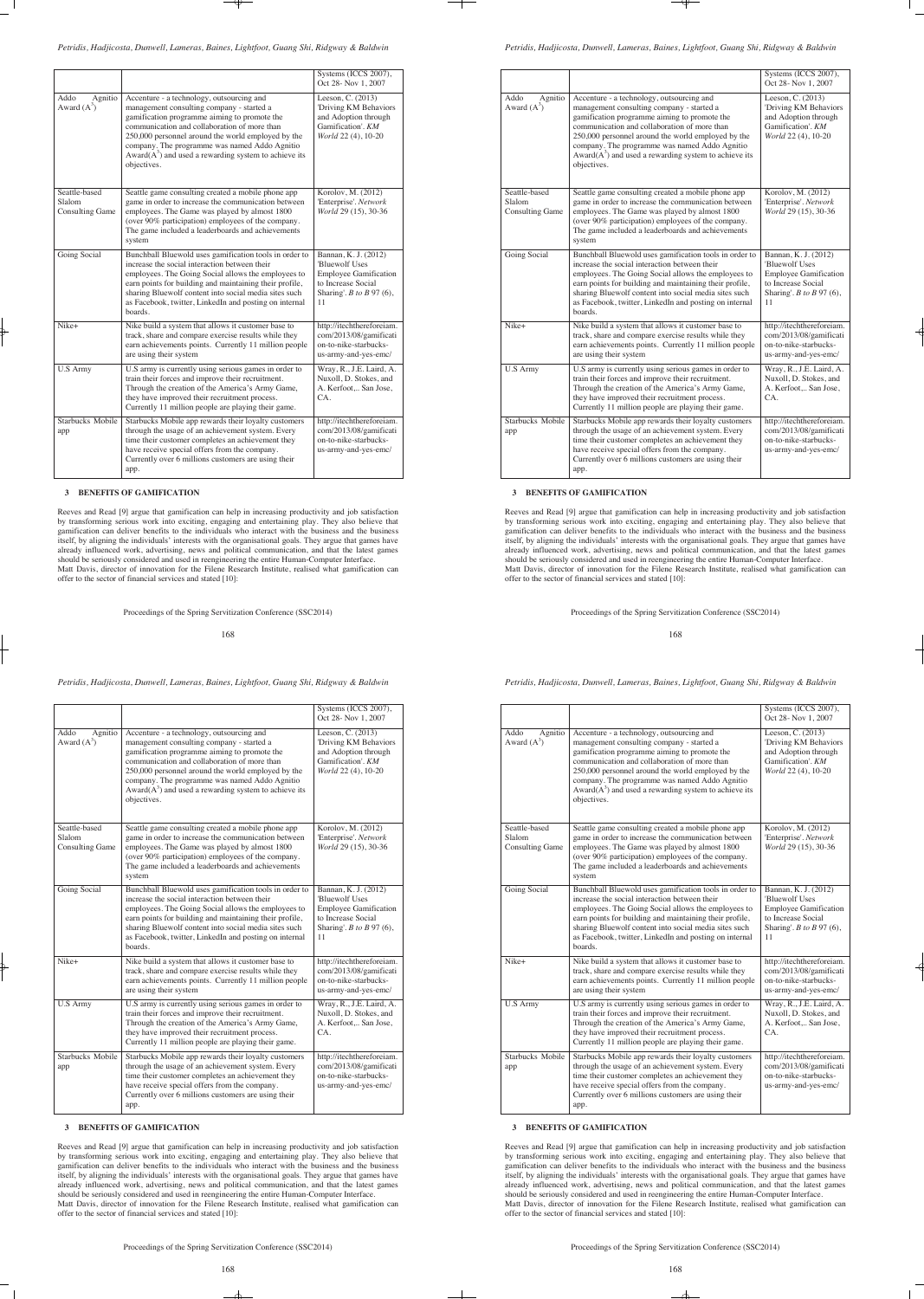|                                                   |                                                                                                                                                                                                                                                                                                                                                                          | Systems (ICCS 2007),<br>Oct 28- Nov 1, 2007                                                                                                  |
|---------------------------------------------------|--------------------------------------------------------------------------------------------------------------------------------------------------------------------------------------------------------------------------------------------------------------------------------------------------------------------------------------------------------------------------|----------------------------------------------------------------------------------------------------------------------------------------------|
| Agnitio<br>Addo<br>Award $(A^3)$                  | Accenture - a technology, outsourcing and<br>management consulting company - started a<br>gamification programme aiming to promote the<br>communication and collaboration of more than<br>250,000 personnel around the world employed by the<br>company. The programme was named Addo Agnitio<br>Award $(A^3)$ and used a rewarding system to achieve its<br>objectives. | Leeson, C. (2013)<br>'Driving KM Behaviors<br>and Adoption through<br>Gamification'. KM<br>World 22 (4), 10-20                               |
| Seattle-based<br>Slalom<br><b>Consulting Game</b> | Seattle game consulting created a mobile phone app<br>game in order to increase the communication between<br>employees. The Game was played by almost 1800<br>(over 90% participation) employees of the company.<br>The game included a leaderboards and achievements<br>system                                                                                          | Korolov, M. (2012)<br>'Enterprise'. Network<br>World 29 (15), 30-36                                                                          |
| Going Social                                      | Bunchball Bluewold uses gamification tools in order to<br>increase the social interaction between their<br>employees. The Going Social allows the employees to<br>earn points for building and maintaining their profile,<br>sharing Bluewolf content into social media sites such<br>as Facebook, twitter, LinkedIn and posting on internal<br>boards.                  | Bannan, K. J. (2012)<br>'Bluewolf Uses<br><b>Employee Gamification</b><br>to Increase Social<br>Sharing'. <i>B</i> to <i>B</i> 97 (6),<br>11 |
| Nike+                                             | Nike build a system that allows it customer base to<br>track, share and compare exercise results while they<br>earn achievements points. Currently 11 million people<br>are using their system                                                                                                                                                                           | http://itechthereforeiam.<br>com/2013/08/gamificati<br>on-to-nike-starbucks-<br>us-army-and-yes-emc/                                         |
| <b>U.S Army</b>                                   | U.S army is currently using serious games in order to<br>train their forces and improve their recruitment.<br>Through the creation of the America's Army Game,<br>they have improved their recruitment process.<br>Currently 11 million people are playing their game.                                                                                                   | Wray, R., J.E. Laird, A.<br>Nuxoll, D. Stokes, and<br>A. Kerfoot, San Jose,<br>CA.                                                           |
| Starbucks Mobile<br>app                           | Starbucks Mobile app rewards their loyalty customers<br>through the usage of an achievement system. Every<br>time their customer completes an achievement they<br>have receive special offers from the company.<br>Currently over 6 millions customers are using their<br>app.                                                                                           | http://itechthereforeiam.<br>com/2013/08/gamificati<br>on-to-nike-starbucks-<br>us-army-and-yes-emc/                                         |

# **3 BENEFITS OF GAMIFICATION**

Reeves and Read [9] argue that gamification can help in increasing productivity and job satisfaction by transforming serious work into exciting, engaging and entertaining play. They also believe that gamification can deliver benefits to the individuals who interact with the business and the business itself, by aligning the individuals' interests with the organisational goals. They argue that games have already influenced work, advertising, news and political communication, and that the latest games should be seriously considered and used in reengineering the entire Human-Computer Interface. Matt Davis, director of innovation for the Filene Research Institute, realised what gamification can offer to the sector of financial services and stated [10]: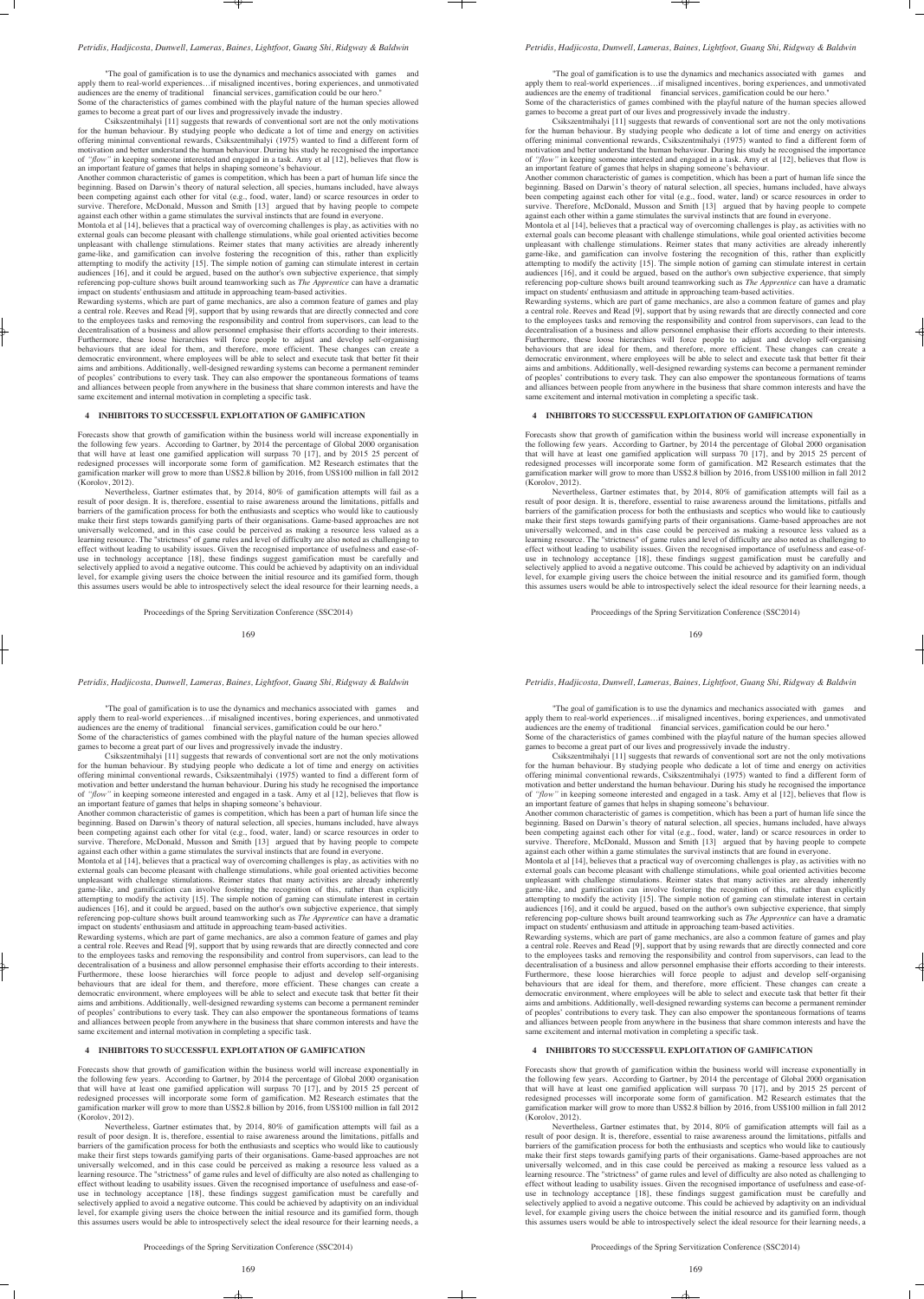"The goal of gamification is to use the dynamics and mechanics associated with games and apply them to real-world experiences…if misaligned incentives, boring experiences, and unmotivated audiences are the enemy of traditional financial services, gamification could be our hero."

Some of the characteristics of games combined with the playful nature of the human species allowed games to become a great part of our lives and progressively invade the industry.

Csikszentmihalyi [11] suggests that rewards of conventional sort are not the only motivations for the human behaviour. By studying people who dedicate a lot of time and energy on activities offering minimal conventional rewards, Csikszentmihalyi (1975) wanted to find a different form of motivation and better understand the human behaviour. During his study he recognised the importance of *"flow"* in keeping someone interested and engaged in a task. Amy et al [12], believes that flow is an important feature of games that helps in shaping someone's behaviour.

Another common characteristic of games is competition, which has been a part of human life since the beginning. Based on Darwin's theory of natural selection, all species, humans included, have always been competing against each other for vital (e.g., food, water, land) or scarce resources in order to survive. Therefore, McDonald, Musson and Smith [13] argued that by having people to compete against each other within a game stimulates the survival instincts that are found in everyone.

Montola et al [14], believes that a practical way of overcoming challenges is play, as activities with no external goals can become pleasant with challenge stimulations, while goal oriented activities become unpleasant with challenge stimulations. Reimer states that many activities are already inherently game-like, and gamification can involve fostering the recognition of this, rather than explicitly attempting to modify the activity [15]. The simple notion of gaming can stimulate interest in certain audiences [16], and it could be argued, based on the author's own subjective experience, that simply referencing pop-culture shows built around teamworking such as *The Apprentice* can have a dramatic impact on students' enthusiasm and attitude in approaching team-based activities.

Rewarding systems, which are part of game mechanics, are also a common feature of games and play a central role. Reeves and Read [9], support that by using rewards that are directly connected and core to the employees tasks and removing the responsibility and control from supervisors, can lead to the decentralisation of a business and allow personnel emphasise their efforts according to their interests. Furthermore, these loose hierarchies will force people to adjust and develop self-organising behaviours that are ideal for them, and therefore, more efficient. These changes can create a democratic environment, where employees will be able to select and execute task that better fit their aims and ambitions. Additionally, well-designed rewarding systems can become a permanent reminder of peoples' contributions to every task. They can also empower the spontaneous formations of teams and alliances between people from anywhere in the business that share common interests and have the same excitement and internal motivation in completing a specific task.

## **4 INHIBITORS TO SUCCESSFUL EXPLOITATION OF GAMIFICATION**

Forecasts show that growth of gamification within the business world will increase exponentially in the following few years. According to Gartner, by 2014 the percentage of Global 2000 organisation that will have at least one gamified application will surpass 70 [17], and by 2015 25 percent of redesigned processes will incorporate some form of gamification. M2 Research estimates that the gamification marker will grow to more than US\$2.8 billion by 2016, from US\$100 million in fall 2012 (Korolov, 2012).

Nevertheless, Gartner estimates that, by 2014, 80% of gamification attempts will fail as a result of poor design. It is, therefore, essential to raise awareness around the limitations, pitfalls and barriers of the gamification process for both the enthusiasts and sceptics who would like to cautiously make their first steps towards gamifying parts of their organisations. Game-based approaches are not universally welcomed, and in this case could be perceived as making a resource less valued as a learning resource. The "strictness" of game rules and level of difficulty are also noted as challenging to effect without leading to usability issues. Given the recognised importance of usefulness and ease-ofuse in technology acceptance [18], these findings suggest gamification must be carefully and selectively applied to avoid a negative outcome. This could be achieved by adaptivity on an individual level, for example giving users the choice between the initial resource and its gamified form, though this assumes users would be able to introspectively select the ideal resource for their learning needs, a

Proceedings of the Spring Servitization Conference (SSC2014)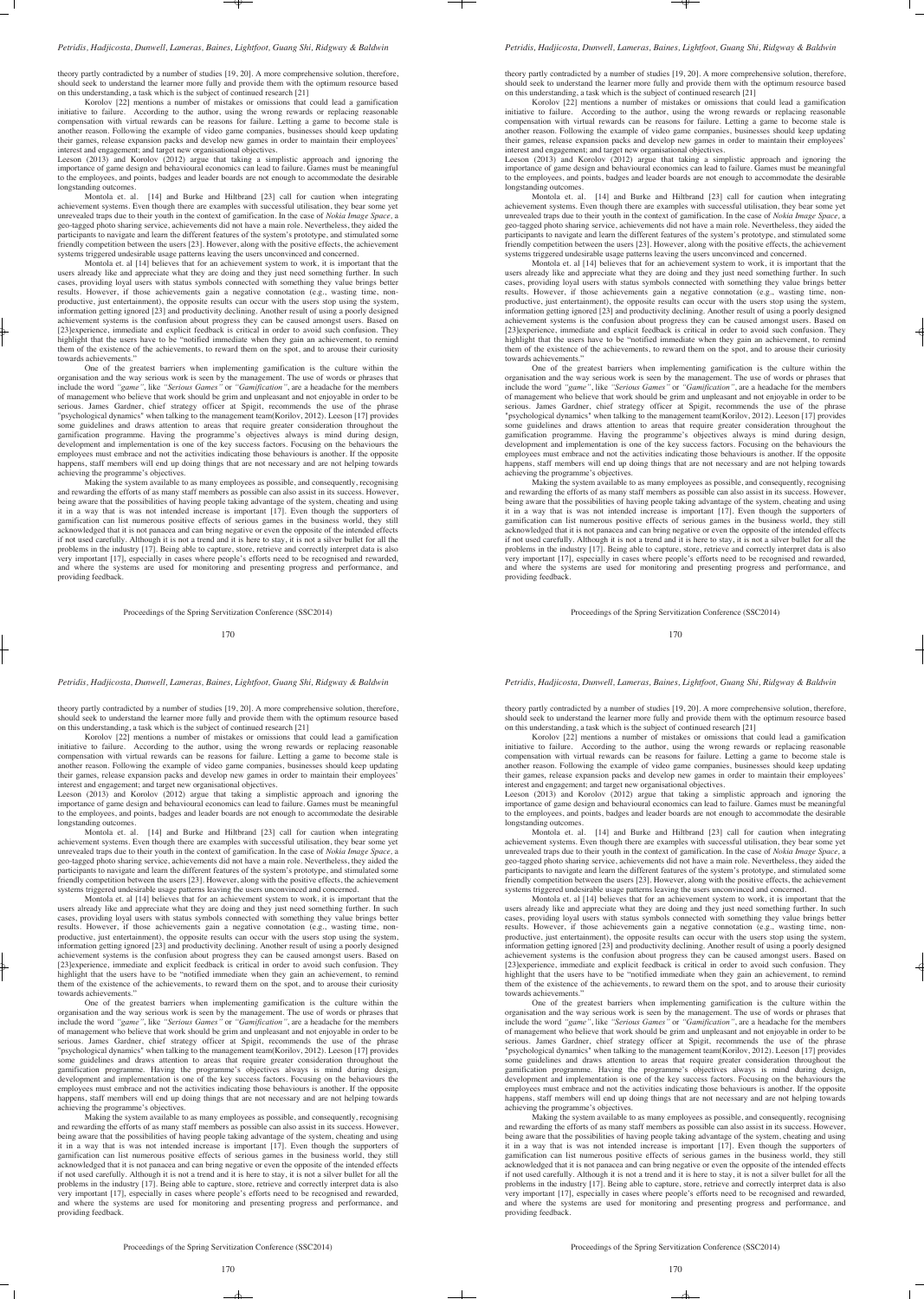theory partly contradicted by a number of studies [19, 20]. A more comprehensive solution, therefore, should seek to understand the learner more fully and provide them with the optimum resource based on this understanding, a task which is the subject of continued research [21]

Korolov [22] mentions a number of mistakes or omissions that could lead a gamification initiative to failure. According to the author, using the wrong rewards or replacing reasonable compensation with virtual rewards can be reasons for failure. Letting a game to become stale is another reason. Following the example of video game companies, businesses should keep updating their games, release expansion packs and develop new games in order to maintain their employees' interest and engagement; and target new organisational objectives.

Leeson (2013) and Korolov (2012) argue that taking a simplistic approach and ignoring the importance of game design and behavioural economics can lead to failure. Games must be meaningful to the employees, and points, badges and leader boards are not enough to accommodate the desirable longstanding outcomes.

Montola et. al. [14] and Burke and Hiltbrand [23] call for caution when integrating achievement systems. Even though there are examples with successful utilisation, they bear some yet unrevealed traps due to their youth in the context of gamification. In the case of *Nokia Image Space,* a geo-tagged photo sharing service, achievements did not have a main role. Nevertheless, they aided the participants to navigate and learn the different features of the system's prototype, and stimulated some friendly competition between the users [23]. However, along with the positive effects, the achievement systems triggered undesirable usage patterns leaving the users unconvinced and concerned.

Montola et. al [14] believes that for an achievement system to work, it is important that the users already like and appreciate what they are doing and they just need something further. In such cases, providing loyal users with status symbols connected with something they value brings better results. However, if those achievements gain a negative connotation (e.g., wasting time, nonproductive, just entertainment), the opposite results can occur with the users stop using the system, information getting ignored [23] and productivity declining. Another result of using a poorly designed achievement systems is the confusion about progress they can be caused amongst users. Based on [23]experience, immediate and explicit feedback is critical in order to avoid such confusion. They highlight that the users have to be "notified immediate when they gain an achievement, to remind them of the existence of the achievements, to reward them on the spot, and to arouse their curiosity towards achievements."

One of the greatest barriers when implementing gamification is the culture within the organisation and the way serious work is seen by the management. The use of words or phrases that include the word *"game"*, like *"Serious Games"* or *"Gamification"*, are a headache for the members of management who believe that work should be grim and unpleasant and not enjoyable in order to be serious. James Gardner, chief strategy officer at Spigit, recommends the use of the phrase "psychological dynamics" when talking to the management team(Korilov, 2012). Leeson [17] provides some guidelines and draws attention to areas that require greater consideration throughout the gamification programme. Having the programme's objectives always is mind during design, development and implementation is one of the key success factors. Focusing on the behaviours the employees must embrace and not the activities indicating those behaviours is another. If the opposite happens, staff members will end up doing things that are not necessary and are not helping towards achieving the programme's objectives.

Making the system available to as many employees as possible, and consequently, recognising and rewarding the efforts of as many staff members as possible can also assist in its success. However, being aware that the possibilities of having people taking advantage of the system, cheating and using it in a way that is was not intended increase is important [17]. Even though the supporters of gamification can list numerous positive effects of serious games in the business world, they still acknowledged that it is not panacea and can bring negative or even the opposite of the intended effects if not used carefully. Although it is not a trend and it is here to stay, it is not a silver bullet for all the problems in the industry [17]. Being able to capture, store, retrieve and correctly interpret data is also very important [17], especially in cases where people's efforts need to be recognised and rewarded, and where the systems are used for monitoring and presenting progress and performance, and providing feedback.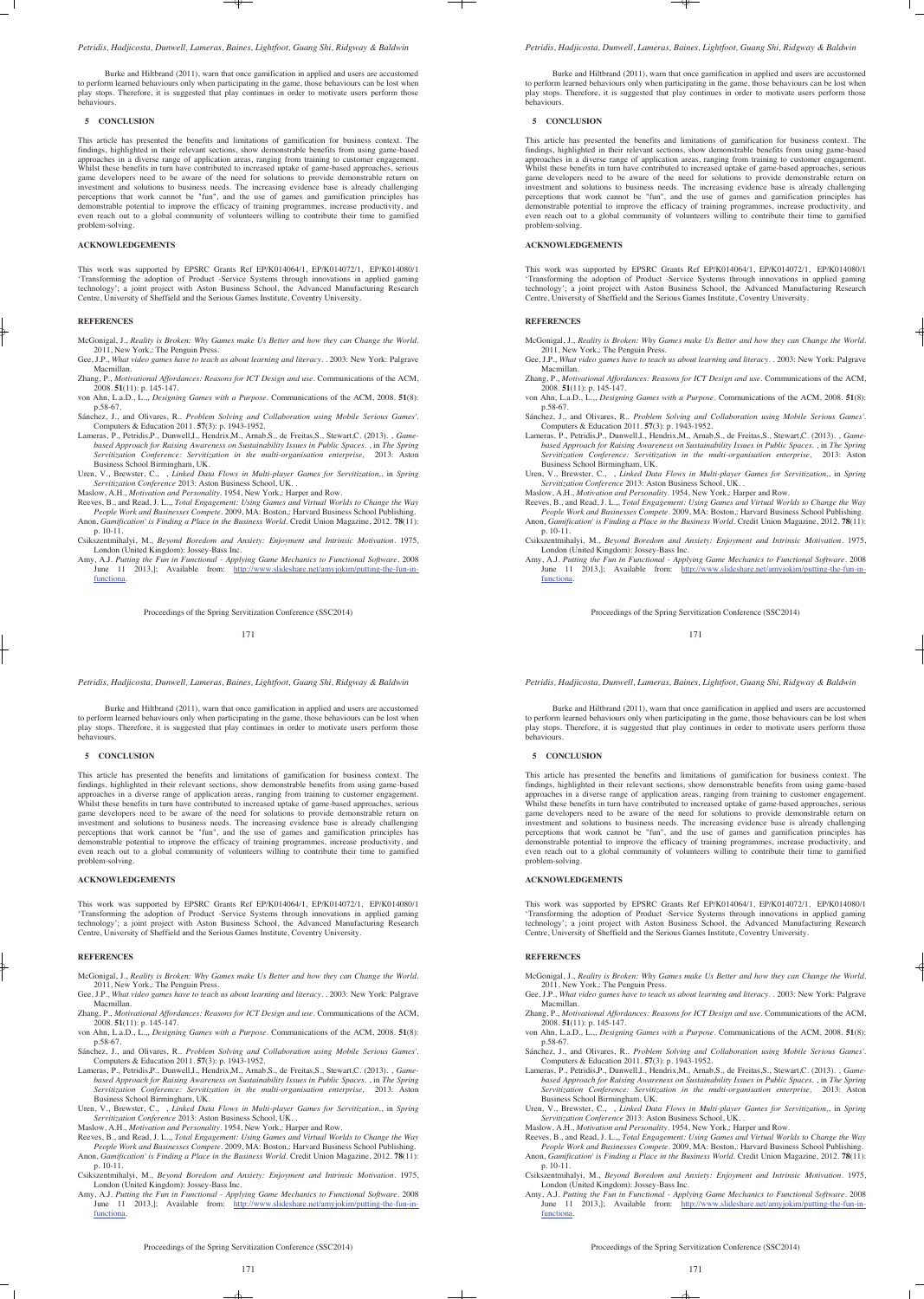## *Petridis, Hadjicosta, Dunwell, Lameras, Baines, Lightfoot, Guang Shi, Ridgway & Baldwin*

Burke and Hiltbrand (2011), warn that once gamification in applied and users are accustomed to perform learned behaviours only when participating in the game, those behaviours can be lost when play stops. Therefore, it is suggested that play continues in order to motivate users perform those behaviours.

#### **5 CONCLUSION**

This article has presented the benefits and limitations of gamification for business context. The findings, highlighted in their relevant sections, show demonstrable benefits from using game-based approaches in a diverse range of application areas, ranging from training to customer engagement. Whilst these benefits in turn have contributed to increased uptake of game-based approaches, serious game developers need to be aware of the need for solutions to provide demonstrable return on investment and solutions to business needs. The increasing evidence base is already challenging perceptions that work cannot be "fun", and the use of games and gamification principles has demonstrable potential to improve the efficacy of training programmes, increase productivity, and even reach out to a global community of volunteers willing to contribute their time to gamified problem-solving.

#### **ACKNOWLEDGEMENTS**

This work was supported by EPSRC Grants Ref EP/K014064/1, EP/K014072/1, EP/K014080/1 'Transforming the adoption of Product -Service Systems through innovations in applied gaming technology'; a joint project with Aston Business School, the Advanced Manufacturing Research Centre, University of Sheffield and the Serious Games Institute, Coventry University.

#### **REFERENCES**

- McGonigal, J., *Reality is Broken: Why Games make Us Better and how they can Change the World*. 2011, New York,: The Penguin Press.
- Gee, J.P., *What video games have to teach us about learning and literacy.* . 2003: New York: Palgrave Macmillan.
- Zhang, P., *Motivational Affordances: Reasons for ICT Design and use.* Communications of the ACM, 2008. **51**(11): p. 145-147.
- von Ahn, L.a.D., L.,, *Designing Games with a Purpose.* Communications of the ACM, 2008. **51**(8): p.58-67.
- Sánchez, J., and Olivares, R.. *Problem Solving and Collaboration using Mobile Serious Games'.* Computers & Education 2011. **57**(3): p. 1943-1952.
- Lameras, P., Petridis,P., Dunwell,I., Hendrix,M., Arnab,S., de Freitas,S., Stewart,C. (2013). , *Gamebased Approach for Raising Awareness on Sustainability Issues in Public Spaces.* , in *The Spring Servitization Conference: Servitization in the multi-organisation enterprise,* 2013: Aston Business School Birmingham, UK.
- Uren, V., Brewster, C., , *Linked Data Flows in Multi-player Games for Servitization,*, in *Spring Servitization Conference* 2013: Aston Business School, UK. .
- Maslow, A.H., *Motivation and Personality*. 1954, New York,: Harper and Row.
- Reeves, B., and Read, J. L.,, *Total Engagement: Using Games and Virtual Worlds to Change the Way People Work and Businesses Compete*. 2009, MA: Boston,: Harvard Business School Publishing.
- Anon, *Gamification' is Finding a Place in the Business World.* Credit Union Magazine, 2012. **78**(11): p. 10-11.
- Csikszentmihalyi, M., *Beyond Boredom and Anxiety: Enjoyment and Intrinsic Motivation*. 1975, London (United Kingdom): Jossey-Bass Inc.
- Amy, A.J. *Putting the Fun in Functional Applying Game Mechanics to Functional Software*. 2008 June 11 2013,]; Available from: http://www.slideshare.net/amyjokim/putting-the-fun-infunctiona.